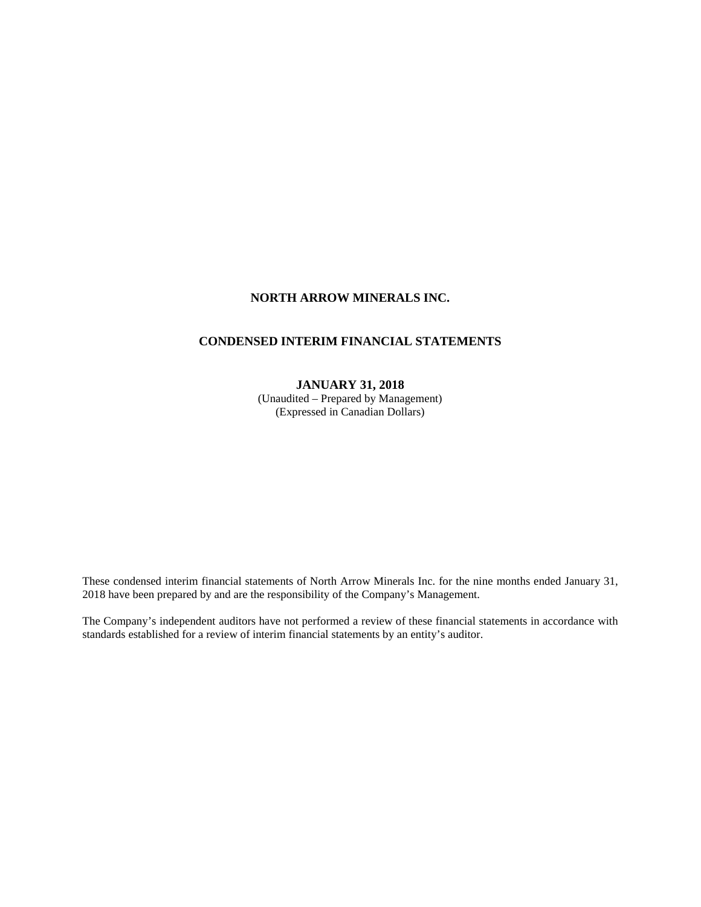# **NORTH ARROW MINERALS INC.**

# **CONDENSED INTERIM FINANCIAL STATEMENTS**

### **JANUARY 31, 2018**

(Unaudited – Prepared by Management) (Expressed in Canadian Dollars)

These condensed interim financial statements of North Arrow Minerals Inc. for the nine months ended January 31, 2018 have been prepared by and are the responsibility of the Company's Management.

The Company's independent auditors have not performed a review of these financial statements in accordance with standards established for a review of interim financial statements by an entity's auditor.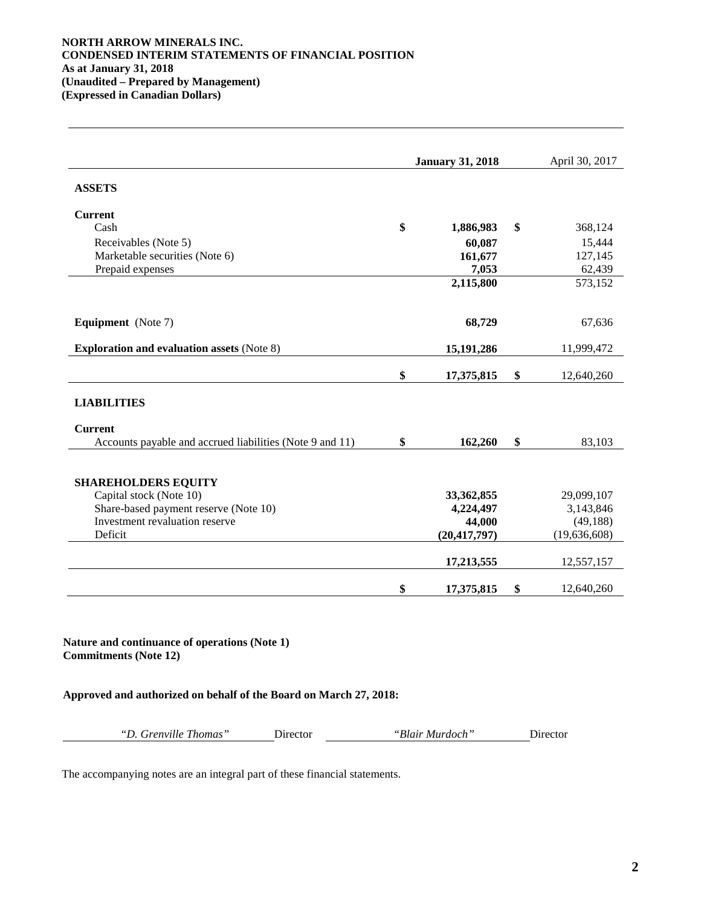### **NORTH ARROW MINERALS INC. CONDENSED INTERIM STATEMENTS OF FINANCIAL POSITION As at January 31, 2018 (Unaudited – Prepared by Management) (Expressed in Canadian Dollars)**

|                                                          | <b>January 31, 2018</b> | April 30, 2017   |
|----------------------------------------------------------|-------------------------|------------------|
| <b>ASSETS</b>                                            |                         |                  |
| <b>Current</b>                                           |                         |                  |
| Cash                                                     | \$<br>1,886,983         | \$<br>368,124    |
| Receivables (Note 5)                                     | 60,087                  | 15,444           |
| Marketable securities (Note 6)                           | 161,677                 | 127,145          |
| Prepaid expenses                                         | 7,053                   | 62,439           |
|                                                          | 2,115,800               | 573,152          |
| <b>Equipment</b> (Note 7)                                | 68,729                  | 67,636           |
| <b>Exploration and evaluation assets (Note 8)</b>        | 15,191,286              | 11,999,472       |
|                                                          | \$<br>17,375,815        | \$<br>12,640,260 |
| <b>LIABILITIES</b>                                       |                         |                  |
| <b>Current</b>                                           |                         |                  |
| Accounts payable and accrued liabilities (Note 9 and 11) | \$<br>162,260           | \$<br>83,103     |
| <b>SHAREHOLDERS EQUITY</b>                               |                         |                  |
| Capital stock (Note 10)                                  | 33,362,855              | 29,099,107       |
| Share-based payment reserve (Note 10)                    | 4,224,497               | 3,143,846        |
| Investment revaluation reserve                           | 44,000                  | (49, 188)        |
| Deficit                                                  | (20, 417, 797)          | (19,636,608)     |
|                                                          | 17,213,555              | 12,557,157       |
|                                                          | \$<br>17,375,815        | \$<br>12,640,260 |

**Nature and continuance of operations (Note 1) Commitments (Note 12)**

**Approved and authorized on behalf of the Board on March 27, 2018:**

*"D. Grenville Thomas"* Director *"Blair Murdoch"* Director

The accompanying notes are an integral part of these financial statements.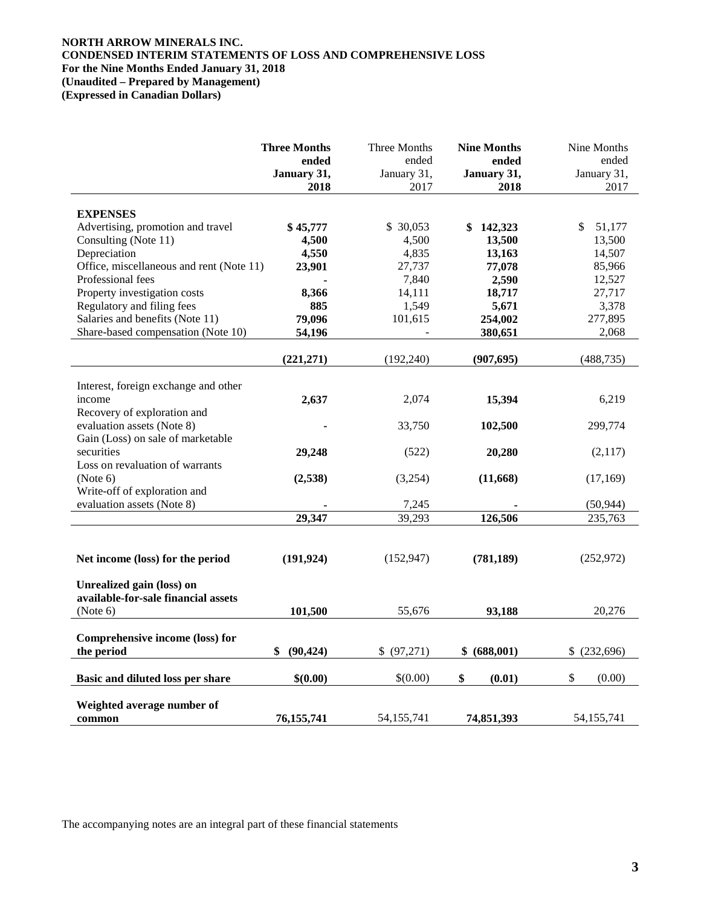# **NORTH ARROW MINERALS INC. CONDENSED INTERIM STATEMENTS OF LOSS AND COMPREHENSIVE LOSS For the Nine Months Ended January 31, 2018 (Unaudited – Prepared by Management)**

**(Expressed in Canadian Dollars)**

|                                          | <b>Three Months</b><br>ended<br>January 31, | Three Months<br>ended<br>January 31, | <b>Nine Months</b><br>ended<br>January 31, | Nine Months<br>ended<br>January 31, |
|------------------------------------------|---------------------------------------------|--------------------------------------|--------------------------------------------|-------------------------------------|
|                                          | 2018                                        | 2017                                 | 2018                                       | 2017                                |
|                                          |                                             |                                      |                                            |                                     |
| <b>EXPENSES</b>                          |                                             |                                      |                                            |                                     |
| Advertising, promotion and travel        | \$45,777                                    | \$ 30,053                            | \$142,323                                  | \$<br>51,177                        |
| Consulting (Note 11)                     | 4,500                                       | 4,500                                | 13,500                                     | 13,500                              |
| Depreciation                             | 4,550                                       | 4,835                                | 13,163                                     | 14,507                              |
| Office, miscellaneous and rent (Note 11) | 23,901                                      | 27,737                               | 77,078                                     | 85,966                              |
| Professional fees                        |                                             | 7,840                                | 2,590                                      | 12,527                              |
| Property investigation costs             | 8,366                                       | 14,111                               | 18,717                                     | 27,717                              |
| Regulatory and filing fees               | 885                                         | 1,549                                | 5,671                                      | 3,378                               |
| Salaries and benefits (Note 11)          | 79,096                                      | 101,615                              | 254,002                                    | 277,895                             |
| Share-based compensation (Note 10)       | 54,196                                      |                                      | 380,651                                    | 2,068                               |
|                                          |                                             |                                      |                                            |                                     |
|                                          | (221, 271)                                  | (192, 240)                           | (907, 695)                                 | (488, 735)                          |
|                                          |                                             |                                      |                                            |                                     |
| Interest, foreign exchange and other     |                                             |                                      |                                            |                                     |
| income                                   | 2,637                                       | 2,074                                | 15,394                                     | 6,219                               |
| Recovery of exploration and              |                                             |                                      |                                            |                                     |
| evaluation assets (Note 8)               |                                             | 33,750                               | 102,500                                    | 299,774                             |
| Gain (Loss) on sale of marketable        |                                             |                                      |                                            |                                     |
| securities                               | 29,248                                      | (522)                                | 20,280                                     | (2,117)                             |
| Loss on revaluation of warrants          |                                             |                                      |                                            |                                     |
| (Note 6)                                 | (2,538)                                     | (3,254)                              | (11, 668)                                  | (17, 169)                           |
| Write-off of exploration and             |                                             |                                      |                                            |                                     |
| evaluation assets (Note 8)               |                                             | 7,245                                |                                            | (50, 944)                           |
|                                          | 29,347                                      | 39,293                               | 126,506                                    | 235,763                             |
|                                          |                                             |                                      |                                            |                                     |
|                                          |                                             |                                      |                                            |                                     |
| Net income (loss) for the period         | (191, 924)                                  | (152, 947)                           | (781, 189)                                 | (252,972)                           |
|                                          |                                             |                                      |                                            |                                     |
| Unrealized gain (loss) on                |                                             |                                      |                                            |                                     |
| available-for-sale financial assets      |                                             |                                      |                                            |                                     |
| (Note 6)                                 | 101,500                                     | 55,676                               | 93,188                                     | 20,276                              |
|                                          |                                             |                                      |                                            |                                     |
| Comprehensive income (loss) for          |                                             |                                      |                                            |                                     |
| the period                               | \$ (90,424)                                 | \$ (97,271)                          | \$ (688,001)                               | $$^{(232,696)}$                     |
|                                          |                                             |                                      |                                            |                                     |
| Basic and diluted loss per share         | \$(0.00)                                    | \$(0.00)                             | \$<br>(0.01)                               | $\mathbb{S}$<br>(0.00)              |
|                                          |                                             |                                      |                                            |                                     |
| Weighted average number of               |                                             |                                      |                                            |                                     |
| common                                   | 76,155,741                                  | 54, 155, 741                         | 74,851,393                                 | 54, 155, 741                        |

The accompanying notes are an integral part of these financial statements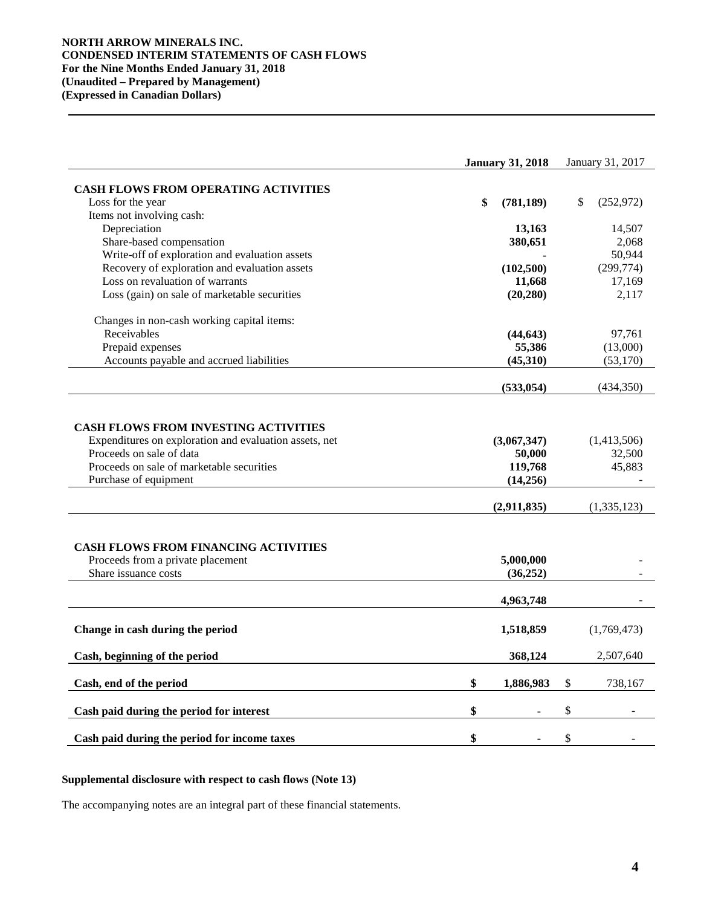### **NORTH ARROW MINERALS INC. CONDENSED INTERIM STATEMENTS OF CASH FLOWS For the Nine Months Ended January 31, 2018 (Unaudited – Prepared by Management) (Expressed in Canadian Dollars)**

|                                                                                                                                                                                                         | <b>January 31, 2018</b>                      |               | January 31, 2017                |
|---------------------------------------------------------------------------------------------------------------------------------------------------------------------------------------------------------|----------------------------------------------|---------------|---------------------------------|
|                                                                                                                                                                                                         |                                              |               |                                 |
| <b>CASH FLOWS FROM OPERATING ACTIVITIES</b><br>Loss for the year                                                                                                                                        | \$<br>(781, 189)                             |               | \$<br>(252, 972)                |
| Items not involving cash:                                                                                                                                                                               |                                              |               |                                 |
| Depreciation                                                                                                                                                                                            | 13,163                                       |               | 14,507                          |
| Share-based compensation                                                                                                                                                                                | 380,651                                      |               | 2,068                           |
| Write-off of exploration and evaluation assets                                                                                                                                                          |                                              |               | 50,944                          |
| Recovery of exploration and evaluation assets                                                                                                                                                           | (102, 500)                                   |               | (299, 774)                      |
| Loss on revaluation of warrants                                                                                                                                                                         | 11,668                                       |               | 17,169                          |
| Loss (gain) on sale of marketable securities                                                                                                                                                            | (20, 280)                                    |               | 2,117                           |
|                                                                                                                                                                                                         |                                              |               |                                 |
| Changes in non-cash working capital items:                                                                                                                                                              |                                              |               |                                 |
| Receivables                                                                                                                                                                                             | (44, 643)                                    |               | 97,761                          |
| Prepaid expenses                                                                                                                                                                                        | 55,386                                       |               | (13,000)                        |
| Accounts payable and accrued liabilities                                                                                                                                                                | (45,310)                                     |               | (53, 170)                       |
|                                                                                                                                                                                                         | (533, 054)                                   |               | (434,350)                       |
|                                                                                                                                                                                                         |                                              |               |                                 |
| <b>CASH FLOWS FROM INVESTING ACTIVITIES</b><br>Expenditures on exploration and evaluation assets, net<br>Proceeds on sale of data<br>Proceeds on sale of marketable securities<br>Purchase of equipment | (3,067,347)<br>50,000<br>119,768<br>(14,256) |               | (1,413,506)<br>32,500<br>45,883 |
|                                                                                                                                                                                                         | (2,911,835)                                  |               | (1, 335, 123)                   |
| <b>CASH FLOWS FROM FINANCING ACTIVITIES</b><br>Proceeds from a private placement<br>Share issuance costs                                                                                                | 5,000,000<br>(36, 252)                       |               |                                 |
|                                                                                                                                                                                                         | 4,963,748                                    |               |                                 |
| Change in cash during the period                                                                                                                                                                        | 1,518,859                                    |               | (1,769,473)                     |
| Cash, beginning of the period                                                                                                                                                                           | 368,124                                      |               | 2,507,640                       |
| Cash, end of the period                                                                                                                                                                                 | \$<br>1,886,983                              | $\mathcal{S}$ | 738,167                         |
| Cash paid during the period for interest                                                                                                                                                                | \$                                           | \$            |                                 |
| Cash paid during the period for income taxes                                                                                                                                                            | \$                                           | \$            |                                 |

### **Supplemental disclosure with respect to cash flows (Note 13)**

The accompanying notes are an integral part of these financial statements.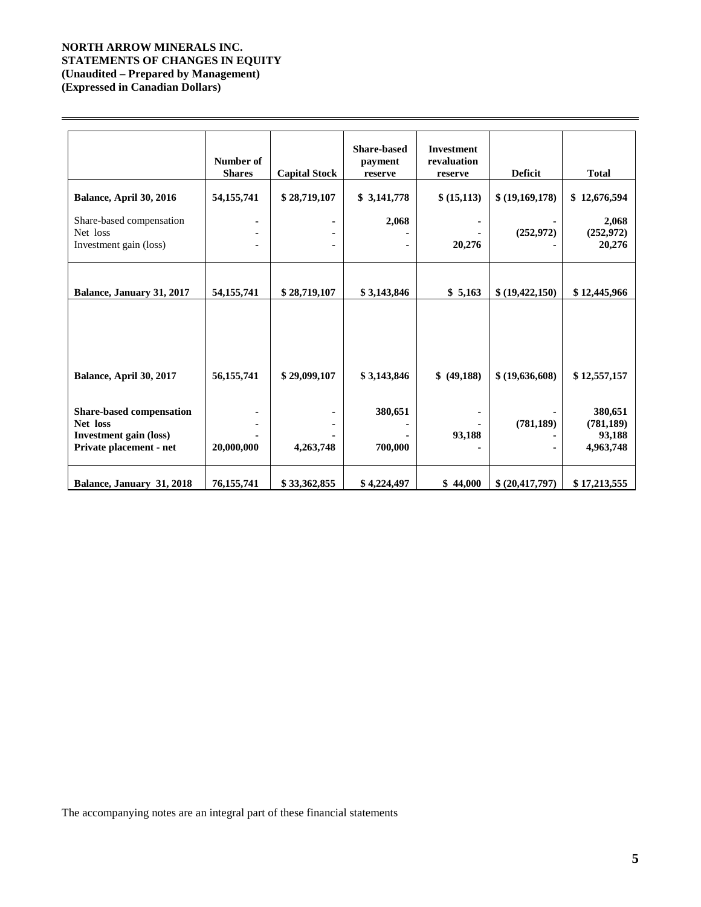## **NORTH ARROW MINERALS INC. STATEMENTS OF CHANGES IN EQUITY (Unaudited – Prepared by Management) (Expressed in Canadian Dollars)**

|                                                                                                  | Number of<br><b>Shares</b> | <b>Capital Stock</b> | <b>Share-based</b><br>payment<br>reserve | <b>Investment</b><br>revaluation<br>reserve | <b>Deficit</b>  | <b>Total</b>                                 |
|--------------------------------------------------------------------------------------------------|----------------------------|----------------------|------------------------------------------|---------------------------------------------|-----------------|----------------------------------------------|
| Balance, April 30, 2016                                                                          | 54, 155, 741               | \$28,719,107         | \$3,141,778                              | \$ (15,113)                                 | \$(19,169,178)  | \$12,676,594                                 |
| Share-based compensation<br>Net loss<br>Investment gain (loss)                                   |                            |                      | 2,068                                    | 20,276                                      | (252,972)       | 2,068<br>(252, 972)<br>20,276                |
| Balance, January 31, 2017                                                                        | 54, 155, 741               | \$28,719,107         | \$3,143,846                              | \$5,163                                     | \$ (19,422,150) | \$12,445,966                                 |
|                                                                                                  |                            |                      |                                          |                                             |                 |                                              |
| Balance, April 30, 2017                                                                          | 56, 155, 741               | \$29,099,107         | \$3,143,846                              | \$ (49,188)                                 | \$ (19,636,608) | \$12,557,157                                 |
|                                                                                                  |                            |                      |                                          |                                             |                 |                                              |
| Share-based compensation<br>Net loss<br><b>Investment gain (loss)</b><br>Private placement - net | 20,000,000                 | 4,263,748            | 380,651<br>700,000                       | 93,188                                      | (781, 189)      | 380,651<br>(781, 189)<br>93,188<br>4,963,748 |
| Balance, January 31, 2018                                                                        | 76, 155, 741               | \$33,362,855         | \$4,224,497                              | \$44,000                                    | \$ (20,417,797) | \$17,213,555                                 |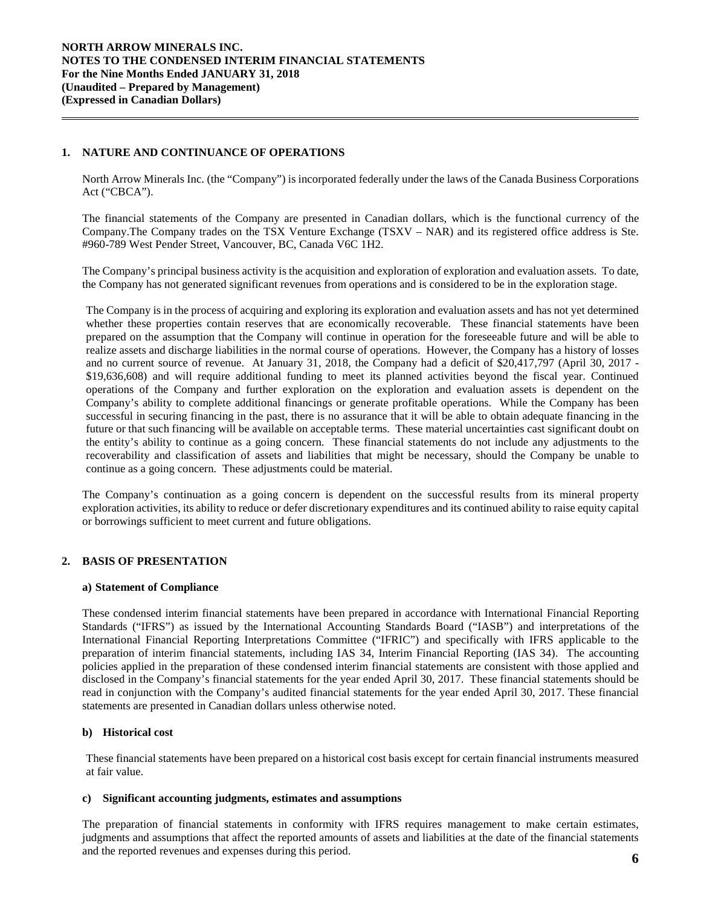### **1. NATURE AND CONTINUANCE OF OPERATIONS**

North Arrow Minerals Inc. (the "Company") is incorporated federally under the laws of the Canada Business Corporations Act ("CBCA").

The financial statements of the Company are presented in Canadian dollars, which is the functional currency of the Company.The Company trades on the TSX Venture Exchange (TSXV – NAR) and its registered office address is Ste. #960-789 West Pender Street, Vancouver, BC, Canada V6C 1H2.

The Company's principal business activity is the acquisition and exploration of exploration and evaluation assets. To date, the Company has not generated significant revenues from operations and is considered to be in the exploration stage.

The Company is in the process of acquiring and exploring its exploration and evaluation assets and has not yet determined whether these properties contain reserves that are economically recoverable. These financial statements have been prepared on the assumption that the Company will continue in operation for the foreseeable future and will be able to realize assets and discharge liabilities in the normal course of operations. However, the Company has a history of losses and no current source of revenue. At January 31, 2018, the Company had a deficit of \$20,417,797 (April 30, 2017 - \$19,636,608) and will require additional funding to meet its planned activities beyond the fiscal year. Continued operations of the Company and further exploration on the exploration and evaluation assets is dependent on the Company's ability to complete additional financings or generate profitable operations. While the Company has been successful in securing financing in the past, there is no assurance that it will be able to obtain adequate financing in the future or that such financing will be available on acceptable terms. These material uncertainties cast significant doubt on the entity's ability to continue as a going concern. These financial statements do not include any adjustments to the recoverability and classification of assets and liabilities that might be necessary, should the Company be unable to continue as a going concern. These adjustments could be material.

The Company's continuation as a going concern is dependent on the successful results from its mineral property exploration activities, its ability to reduce or defer discretionary expenditures and its continued ability to raise equity capital or borrowings sufficient to meet current and future obligations.

### **2. BASIS OF PRESENTATION**

#### **a) Statement of Compliance**

These condensed interim financial statements have been prepared in accordance with International Financial Reporting Standards ("IFRS") as issued by the International Accounting Standards Board ("IASB") and interpretations of the International Financial Reporting Interpretations Committee ("IFRIC") and specifically with IFRS applicable to the preparation of interim financial statements, including IAS 34, Interim Financial Reporting (IAS 34). The accounting policies applied in the preparation of these condensed interim financial statements are consistent with those applied and disclosed in the Company's financial statements for the year ended April 30, 2017. These financial statements should be read in conjunction with the Company's audited financial statements for the year ended April 30, 2017. These financial statements are presented in Canadian dollars unless otherwise noted.

### **b) Historical cost**

These financial statements have been prepared on a historical cost basis except for certain financial instruments measured at fair value.

### **c) Significant accounting judgments, estimates and assumptions**

The preparation of financial statements in conformity with IFRS requires management to make certain estimates, judgments and assumptions that affect the reported amounts of assets and liabilities at the date of the financial statements and the reported revenues and expenses during this period. **6**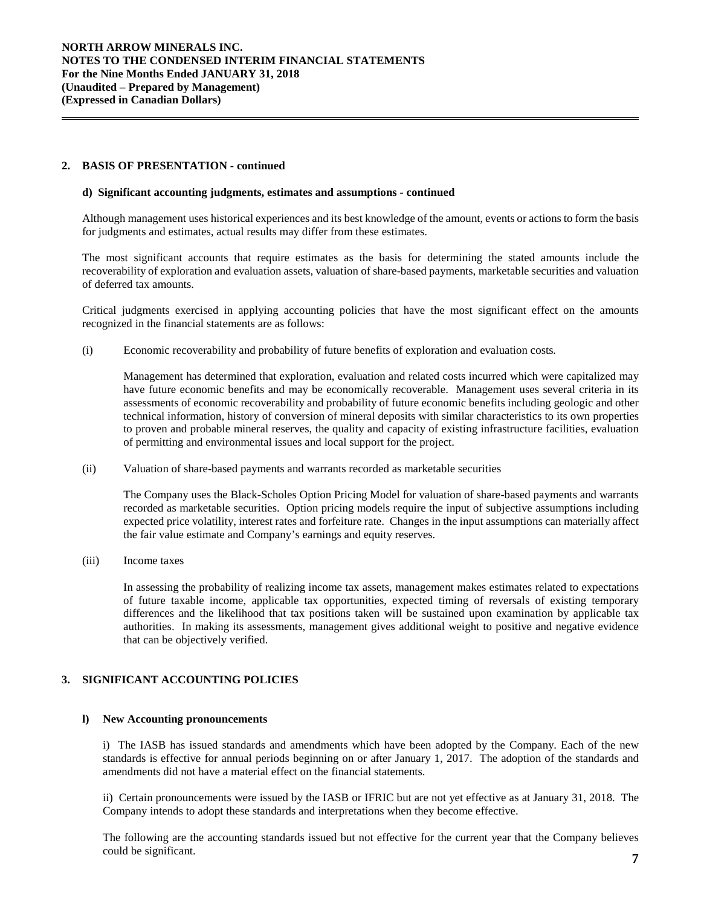### **2. BASIS OF PRESENTATION - continued**

#### **d) Significant accounting judgments, estimates and assumptions** *-* **continued**

Although management uses historical experiences and its best knowledge of the amount, events or actions to form the basis for judgments and estimates, actual results may differ from these estimates.

The most significant accounts that require estimates as the basis for determining the stated amounts include the recoverability of exploration and evaluation assets, valuation of share-based payments, marketable securities and valuation of deferred tax amounts.

Critical judgments exercised in applying accounting policies that have the most significant effect on the amounts recognized in the financial statements are as follows:

(i) Economic recoverability and probability of future benefits of exploration and evaluation costs*.* 

Management has determined that exploration, evaluation and related costs incurred which were capitalized may have future economic benefits and may be economically recoverable. Management uses several criteria in its assessments of economic recoverability and probability of future economic benefits including geologic and other technical information, history of conversion of mineral deposits with similar characteristics to its own properties to proven and probable mineral reserves, the quality and capacity of existing infrastructure facilities, evaluation of permitting and environmental issues and local support for the project.

(ii) Valuation of share-based payments and warrants recorded as marketable securities

The Company uses the Black-Scholes Option Pricing Model for valuation of share-based payments and warrants recorded as marketable securities. Option pricing models require the input of subjective assumptions including expected price volatility, interest rates and forfeiture rate. Changes in the input assumptions can materially affect the fair value estimate and Company's earnings and equity reserves.

(iii) Income taxes

In assessing the probability of realizing income tax assets, management makes estimates related to expectations of future taxable income, applicable tax opportunities, expected timing of reversals of existing temporary differences and the likelihood that tax positions taken will be sustained upon examination by applicable tax authorities. In making its assessments, management gives additional weight to positive and negative evidence that can be objectively verified.

### **3. SIGNIFICANT ACCOUNTING POLICIES**

#### **l) New Accounting pronouncements**

i) The IASB has issued standards and amendments which have been adopted by the Company. Each of the new standards is effective for annual periods beginning on or after January 1, 2017. The adoption of the standards and amendments did not have a material effect on the financial statements.

ii) Certain pronouncements were issued by the IASB or IFRIC but are not yet effective as at January 31, 2018. The Company intends to adopt these standards and interpretations when they become effective.

The following are the accounting standards issued but not effective for the current year that the Company believes could be significant. **<sup>7</sup>**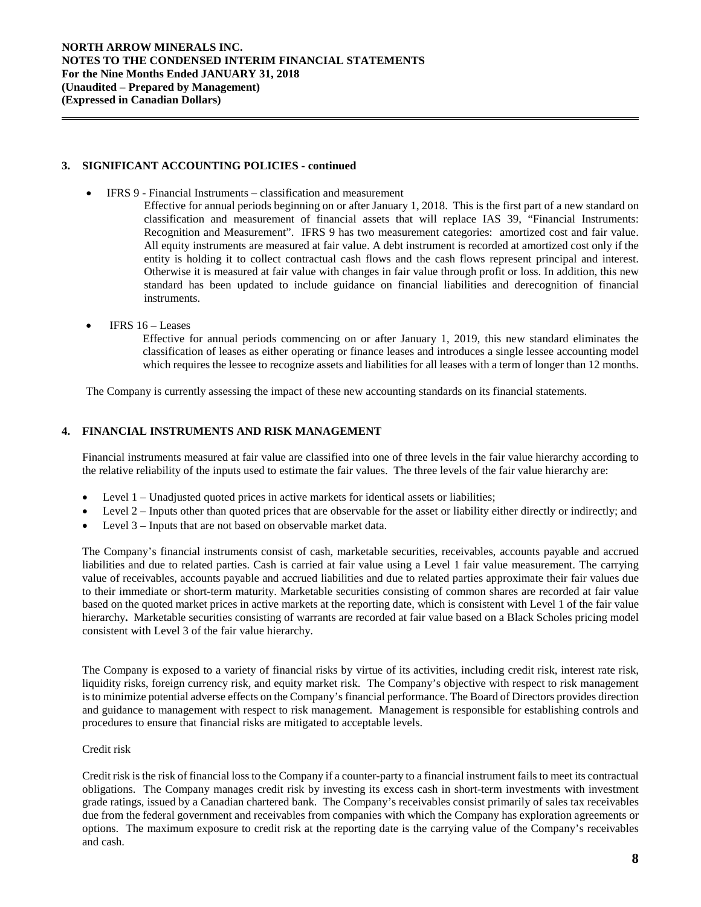### **3. SIGNIFICANT ACCOUNTING POLICIES - continued**

- IFRS 9 Financial Instruments classification and measurement
	- Effective for annual periods beginning on or after January 1, 2018. This is the first part of a new standard on classification and measurement of financial assets that will replace IAS 39, "Financial Instruments: Recognition and Measurement". IFRS 9 has two measurement categories: amortized cost and fair value. All equity instruments are measured at fair value. A debt instrument is recorded at amortized cost only if the entity is holding it to collect contractual cash flows and the cash flows represent principal and interest. Otherwise it is measured at fair value with changes in fair value through profit or loss. In addition, this new standard has been updated to include guidance on financial liabilities and derecognition of financial instruments.
- IFRS  $16 -$  Leases

Effective for annual periods commencing on or after January 1, 2019, this new standard eliminates the classification of leases as either operating or finance leases and introduces a single lessee accounting model which requires the lessee to recognize assets and liabilities for all leases with a term of longer than 12 months.

The Company is currently assessing the impact of these new accounting standards on its financial statements.

### **4. FINANCIAL INSTRUMENTS AND RISK MANAGEMENT**

Financial instruments measured at fair value are classified into one of three levels in the fair value hierarchy according to the relative reliability of the inputs used to estimate the fair values. The three levels of the fair value hierarchy are:

- Level 1 Unadjusted quoted prices in active markets for identical assets or liabilities;
- Level 2 Inputs other than quoted prices that are observable for the asset or liability either directly or indirectly; and
- Level 3 Inputs that are not based on observable market data.

The Company's financial instruments consist of cash, marketable securities, receivables, accounts payable and accrued liabilities and due to related parties. Cash is carried at fair value using a Level 1 fair value measurement. The carrying value of receivables, accounts payable and accrued liabilities and due to related parties approximate their fair values due to their immediate or short-term maturity. Marketable securities consisting of common shares are recorded at fair value based on the quoted market prices in active markets at the reporting date, which is consistent with Level 1 of the fair value hierarchy**.** Marketable securities consisting of warrants are recorded at fair value based on a Black Scholes pricing model consistent with Level 3 of the fair value hierarchy.

The Company is exposed to a variety of financial risks by virtue of its activities, including credit risk, interest rate risk, liquidity risks, foreign currency risk, and equity market risk. The Company's objective with respect to risk management is to minimize potential adverse effects on the Company's financial performance. The Board of Directors provides direction and guidance to management with respect to risk management. Management is responsible for establishing controls and procedures to ensure that financial risks are mitigated to acceptable levels.

### Credit risk

Credit risk is the risk of financial loss to the Company if a counter-party to a financial instrument fails to meet its contractual obligations. The Company manages credit risk by investing its excess cash in short-term investments with investment grade ratings, issued by a Canadian chartered bank. The Company's receivables consist primarily of sales tax receivables due from the federal government and receivables from companies with which the Company has exploration agreements or options. The maximum exposure to credit risk at the reporting date is the carrying value of the Company's receivables and cash.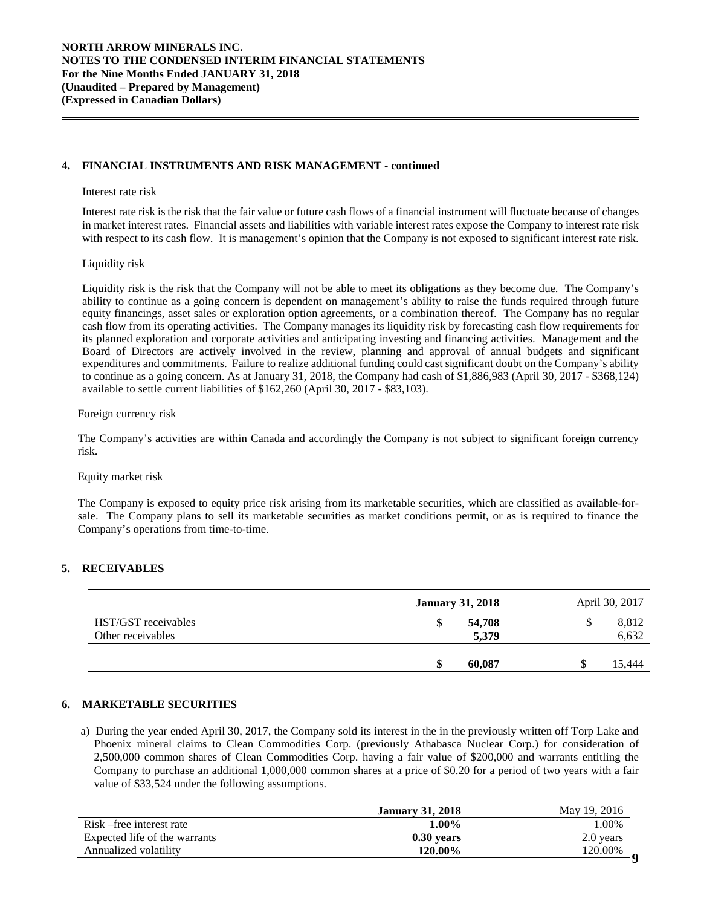### **4. FINANCIAL INSTRUMENTS AND RISK MANAGEMENT - continued**

#### Interest rate risk

Interest rate risk is the risk that the fair value or future cash flows of a financial instrument will fluctuate because of changes in market interest rates. Financial assets and liabilities with variable interest rates expose the Company to interest rate risk with respect to its cash flow. It is management's opinion that the Company is not exposed to significant interest rate risk.

### Liquidity risk

Liquidity risk is the risk that the Company will not be able to meet its obligations as they become due. The Company's ability to continue as a going concern is dependent on management's ability to raise the funds required through future equity financings, asset sales or exploration option agreements, or a combination thereof. The Company has no regular cash flow from its operating activities. The Company manages its liquidity risk by forecasting cash flow requirements for its planned exploration and corporate activities and anticipating investing and financing activities. Management and the Board of Directors are actively involved in the review, planning and approval of annual budgets and significant expenditures and commitments. Failure to realize additional funding could cast significant doubt on the Company's ability to continue as a going concern. As at January 31, 2018, the Company had cash of \$1,886,983 (April 30, 2017 - \$368,124) available to settle current liabilities of \$162,260 (April 30, 2017 - \$83,103).

#### Foreign currency risk

The Company's activities are within Canada and accordingly the Company is not subject to significant foreign currency risk.

#### Equity market risk

The Company is exposed to equity price risk arising from its marketable securities, which are classified as available-forsale. The Company plans to sell its marketable securities as market conditions permit, or as is required to finance the Company's operations from time-to-time.

#### **5. RECEIVABLES**

|                     | <b>January 31, 2018</b> | April 30, 2017 |
|---------------------|-------------------------|----------------|
| HST/GST receivables | 54,708                  | 8,812          |
| Other receivables   | 5,379                   | 6,632          |
|                     | 60.087                  | 15.444         |

### **6. MARKETABLE SECURITIES**

a) During the year ended April 30, 2017, the Company sold its interest in the in the previously written off Torp Lake and Phoenix mineral claims to Clean Commodities Corp. (previously Athabasca Nuclear Corp.) for consideration of 2,500,000 common shares of Clean Commodities Corp. having a fair value of \$200,000 and warrants entitling the Company to purchase an additional 1,000,000 common shares at a price of \$0.20 for a period of two years with a fair value of \$33,524 under the following assumptions.

|                               | <b>January 31, 2018</b> | May 19, 2016 |
|-------------------------------|-------------------------|--------------|
| Risk – free interest rate     | 1.00%                   | 1.00%        |
| Expected life of the warrants | $0.30$ vears            | 2.0 years    |
| Annualized volatility         | 120.00%                 | 120.00%      |
|                               |                         |              |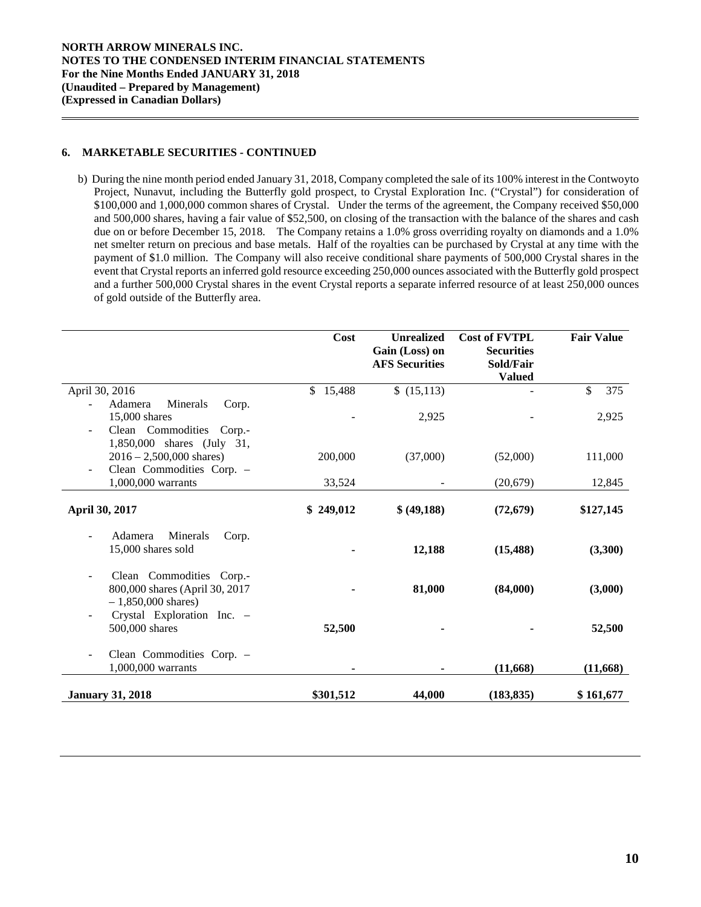### **6. MARKETABLE SECURITIES - CONTINUED**

b) During the nine month period ended January 31, 2018, Company completed the sale of its 100% interest in the Contwoyto Project, Nunavut, including the Butterfly gold prospect, to Crystal Exploration Inc. ("Crystal") for consideration of \$100,000 and 1,000,000 common shares of Crystal. Under the terms of the agreement, the Company received \$50,000 and 500,000 shares, having a fair value of \$52,500, on closing of the transaction with the balance of the shares and cash due on or before December 15, 2018. The Company retains a 1.0% gross overriding royalty on diamonds and a 1.0% net smelter return on precious and base metals. Half of the royalties can be purchased by Crystal at any time with the payment of \$1.0 million. The Company will also receive conditional share payments of 500,000 Crystal shares in the event that Crystal reports an inferred gold resource exceeding 250,000 ounces associated with the Butterfly gold prospect and a further 500,000 Crystal shares in the event Crystal reports a separate inferred resource of at least 250,000 ounces of gold outside of the Butterfly area.

|                                                                                    | Cost      | <b>Unrealized</b><br>Gain (Loss) on<br><b>AFS Securities</b> | <b>Cost of FVTPL</b><br><b>Securities</b><br>Sold/Fair<br><b>Valued</b> | <b>Fair Value</b> |
|------------------------------------------------------------------------------------|-----------|--------------------------------------------------------------|-------------------------------------------------------------------------|-------------------|
| April 30, 2016                                                                     | \$15,488  | \$(15,113)                                                   |                                                                         | \$<br>375         |
| Adamera<br>Minerals<br>Corp.                                                       |           |                                                              |                                                                         |                   |
| 15,000 shares                                                                      |           | 2,925                                                        |                                                                         | 2,925             |
| Clean Commodities Corp.-<br>$\overline{\phantom{a}}$<br>1,850,000 shares (July 31, |           |                                                              |                                                                         |                   |
| $2016 - 2,500,000$ shares)                                                         | 200,000   | (37,000)                                                     | (52,000)                                                                | 111,000           |
| Clean Commodities Corp. -                                                          |           |                                                              |                                                                         |                   |
| 1,000,000 warrants                                                                 | 33,524    |                                                              | (20,679)                                                                | 12,845            |
| April 30, 2017                                                                     | \$249,012 | \$ (49,188)                                                  | (72, 679)                                                               | \$127,145         |
| Minerals<br>Adamera<br>Corp.<br>15,000 shares sold                                 |           | 12,188                                                       | (15, 488)                                                               | (3,300)           |
| Clean Commodities Corp.<br>800,000 shares (April 30, 2017<br>$-1,850,000$ shares)  |           | 81,000                                                       | (84,000)                                                                | (3,000)           |
| Crystal Exploration Inc. -<br>500,000 shares                                       | 52,500    |                                                              |                                                                         | 52,500            |
| Clean Commodities Corp. -<br>1,000,000 warrants                                    |           |                                                              | (11,668)                                                                | (11, 668)         |
| <b>January 31, 2018</b>                                                            | \$301,512 | 44,000                                                       | (183, 835)                                                              | \$161,677         |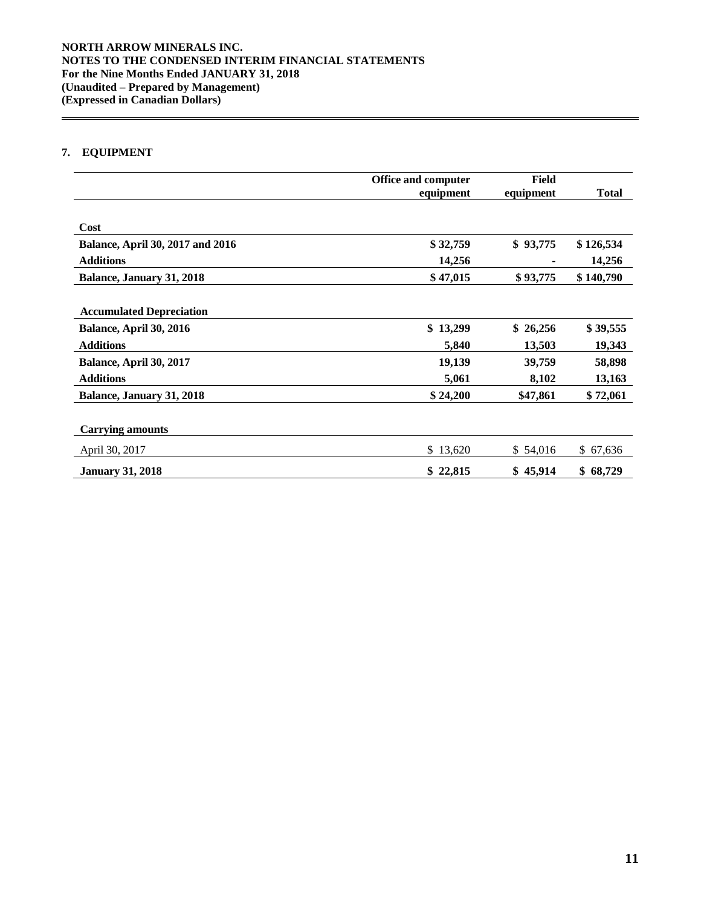# **7. EQUIPMENT**

|                                         | <b>Office and computer</b> | Field     |              |
|-----------------------------------------|----------------------------|-----------|--------------|
|                                         | equipment                  | equipment | <b>Total</b> |
| Cost                                    |                            |           |              |
| <b>Balance, April 30, 2017 and 2016</b> | \$32,759                   | \$93,775  | \$126,534    |
| <b>Additions</b>                        | 14,256                     |           | 14,256       |
| Balance, January 31, 2018               | \$47,015                   | \$93,775  | \$140,790    |
|                                         |                            |           |              |
| <b>Accumulated Depreciation</b>         |                            |           |              |
| Balance, April 30, 2016                 | \$13,299                   | \$26,256  | \$39,555     |
| <b>Additions</b>                        | 5,840                      | 13,503    | 19,343       |
| Balance, April 30, 2017                 | 19,139                     | 39,759    | 58,898       |
| <b>Additions</b>                        | 5,061                      | 8,102     | 13,163       |
| Balance, January 31, 2018               | \$24,200                   | \$47,861  | \$72,061     |
|                                         |                            |           |              |
| <b>Carrying amounts</b>                 |                            |           |              |
| April 30, 2017                          | \$13,620                   | \$54,016  | \$67,636     |
| <b>January 31, 2018</b>                 | \$22,815                   | \$45,914  | \$68,729     |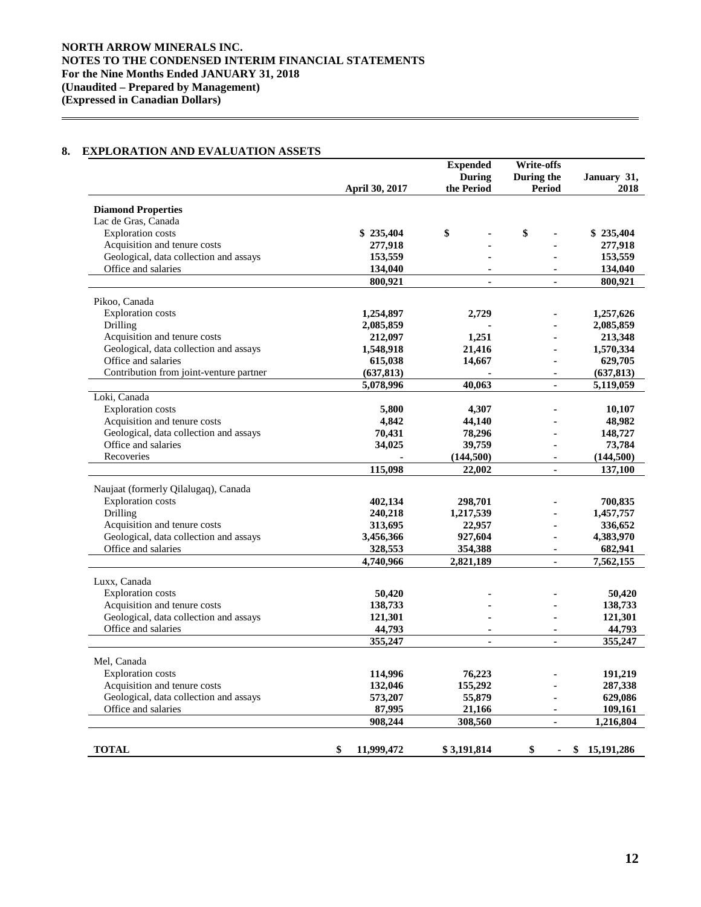## **8. EXPLORATION AND EVALUATION ASSETS**

|                                                                        |                       | <b>Expended</b>          | <b>Write-offs</b> |                    |
|------------------------------------------------------------------------|-----------------------|--------------------------|-------------------|--------------------|
|                                                                        |                       | During                   | During the        | January 31,        |
|                                                                        | <b>April 30, 2017</b> | the Period               | <b>Period</b>     | 2018               |
|                                                                        |                       |                          |                   |                    |
| <b>Diamond Properties</b><br>Lac de Gras, Canada                       |                       |                          |                   |                    |
| <b>Exploration costs</b>                                               | \$235,404             | \$                       | \$                | \$235,404          |
|                                                                        |                       |                          |                   |                    |
| Acquisition and tenure costs<br>Geological, data collection and assays | 277,918<br>153,559    |                          |                   | 277,918<br>153,559 |
| Office and salaries                                                    | 134,040               | $\overline{a}$           |                   | 134,040            |
|                                                                        | 800,921               | $\overline{a}$           | ä,                | 800,921            |
|                                                                        |                       |                          |                   |                    |
| Pikoo, Canada                                                          |                       |                          |                   |                    |
| <b>Exploration costs</b>                                               | 1,254,897             | 2,729                    |                   | 1,257,626          |
| Drilling                                                               | 2,085,859             |                          |                   | 2,085,859          |
| Acquisition and tenure costs                                           | 212,097               | 1,251                    |                   | 213,348            |
| Geological, data collection and assays                                 | 1,548,918             | 21,416                   |                   | 1,570,334          |
| Office and salaries                                                    | 615,038               | 14,667                   |                   | 629,705            |
| Contribution from joint-venture partner                                | (637, 813)            |                          | ä,                | (637, 813)         |
|                                                                        | 5,078,996             | 40,063                   | $\mathbf{r}$      | 5,119,059          |
| Loki, Canada                                                           |                       |                          |                   |                    |
| <b>Exploration costs</b>                                               | 5,800                 | 4,307                    |                   | 10,107             |
| Acquisition and tenure costs                                           | 4,842                 | 44,140                   |                   | 48,982             |
| Geological, data collection and assays                                 | 70,431                | 78,296                   |                   | 148,727            |
| Office and salaries                                                    | 34,025                | 39,759                   |                   | 73,784             |
| Recoveries                                                             |                       | (144, 500)               |                   | (144, 500)         |
|                                                                        | 115,098               | 22,002                   | ä,                | 137,100            |
|                                                                        |                       |                          |                   |                    |
| Naujaat (formerly Qilalugaq), Canada                                   |                       |                          |                   |                    |
| <b>Exploration</b> costs                                               | 402,134               | 298,701                  |                   | 700,835            |
| Drilling                                                               | 240,218               | 1,217,539                |                   | 1,457,757          |
| Acquisition and tenure costs                                           | 313,695               | 22,957                   |                   | 336,652            |
| Geological, data collection and assays                                 | 3,456,366             | 927,604                  | ä,                | 4,383,970          |
| Office and salaries                                                    | 328,553               | 354,388                  |                   | 682,941            |
|                                                                        | 4,740,966             | 2,821,189                | $\blacksquare$    | 7,562,155          |
| Luxx, Canada                                                           |                       |                          |                   |                    |
| <b>Exploration</b> costs                                               | 50,420                |                          |                   | 50,420             |
| Acquisition and tenure costs                                           | 138,733               |                          |                   | 138,733            |
| Geological, data collection and assays                                 | 121,301               |                          |                   | 121,301            |
| Office and salaries                                                    | 44,793                | $\overline{\phantom{a}}$ | $\overline{a}$    | 44,793             |
|                                                                        | 355,247               | $\overline{a}$           | $\mathbf{r}$      | 355,247            |
|                                                                        |                       |                          |                   |                    |
| Mel, Canada                                                            |                       |                          |                   |                    |
| <b>Exploration</b> costs                                               | 114,996               | 76,223                   |                   | 191,219            |
| Acquisition and tenure costs                                           | 132,046               | 155,292                  |                   | 287,338            |
| Geological, data collection and assays                                 | 573,207               | 55,879                   | ä,                | 629,086            |
| Office and salaries                                                    | 87,995                | 21,166                   | ä,                | 109,161            |
|                                                                        | 908,244               | 308,560                  | ä,                | 1,216,804          |
|                                                                        |                       |                          |                   |                    |
| <b>TOTAL</b>                                                           | \$<br>11,999,472      | \$3,191,814              | \$                | \$<br>15,191,286   |
|                                                                        |                       |                          |                   |                    |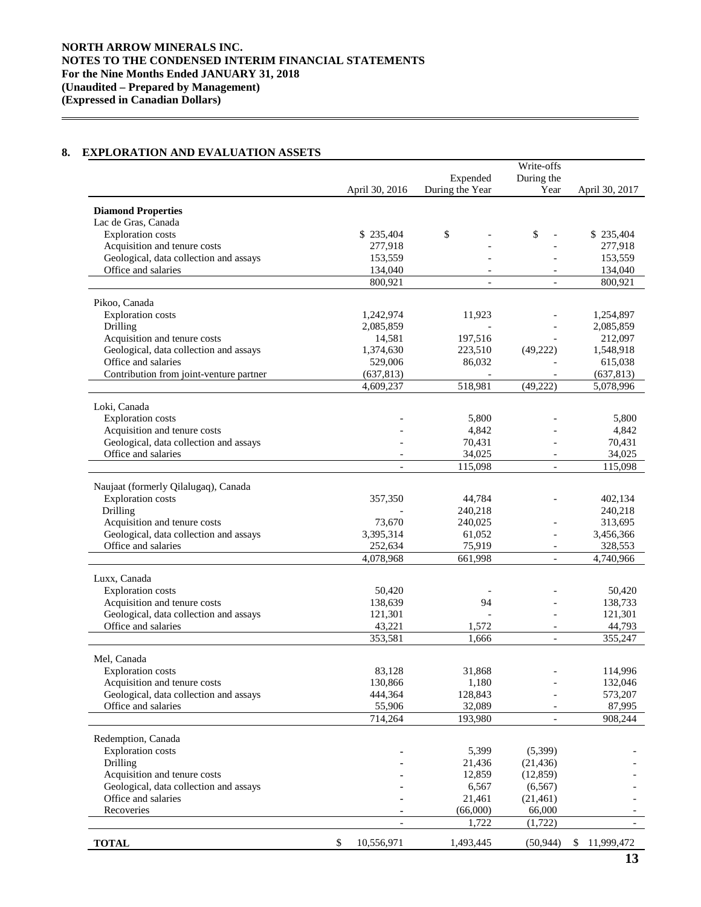# **8. EXPLORATION AND EVALUATION ASSETS**

|                                          |                     |                 | Write-offs               |                      |
|------------------------------------------|---------------------|-----------------|--------------------------|----------------------|
|                                          |                     | Expended        | During the               |                      |
|                                          | April 30, 2016      | During the Year | Year                     | April 30, 2017       |
| <b>Diamond Properties</b>                |                     |                 |                          |                      |
| Lac de Gras, Canada                      |                     |                 |                          |                      |
| <b>Exploration</b> costs                 | \$235,404           | \$              | \$                       | \$235,404            |
| Acquisition and tenure costs             | 277,918             |                 |                          | 277,918              |
| Geological, data collection and assays   | 153,559             |                 |                          | 153,559              |
| Office and salaries                      | 134,040             |                 |                          | 134,040              |
|                                          | 800,921             | $\overline{a}$  | $\overline{\phantom{a}}$ | 800,921              |
|                                          |                     |                 |                          |                      |
| Pikoo, Canada                            |                     |                 |                          |                      |
| <b>Exploration</b> costs<br>Drilling     | 1,242,974           | 11,923          |                          | 1,254,897            |
| Acquisition and tenure costs             | 2,085,859<br>14,581 | 197,516         |                          | 2,085,859<br>212,097 |
| Geological, data collection and assays   | 1,374,630           | 223,510         | (49,222)                 | 1,548,918            |
| Office and salaries                      | 529,006             | 86,032          |                          | 615,038              |
| Contribution from joint-venture partner  | (637, 813)          |                 |                          | (637, 813)           |
|                                          | 4,609,237           | 518,981         | (49, 222)                | 5,078,996            |
|                                          |                     |                 |                          |                      |
| Loki, Canada                             |                     |                 |                          |                      |
| <b>Exploration</b> costs                 |                     | 5,800           |                          | 5,800                |
| Acquisition and tenure costs             |                     | 4,842           |                          | 4,842                |
| Geological, data collection and assays   |                     | 70,431          |                          | 70,431               |
| Office and salaries                      |                     | 34,025          |                          | 34,025               |
|                                          |                     | 115,098         | $\overline{a}$           | 115,098              |
| Naujaat (formerly Qilalugaq), Canada     |                     |                 |                          |                      |
| <b>Exploration</b> costs                 | 357,350             | 44,784          |                          | 402,134              |
| Drilling                                 |                     | 240,218         |                          | 240,218              |
| Acquisition and tenure costs             | 73,670              | 240,025         |                          | 313,695              |
| Geological, data collection and assays   | 3,395,314           | 61,052          |                          | 3,456,366            |
| Office and salaries                      | 252,634             | 75,919          | $\overline{\phantom{a}}$ | 328,553              |
|                                          | 4,078,968           | 661,998         | $\overline{\phantom{a}}$ | 4,740,966            |
|                                          |                     |                 |                          |                      |
| Luxx, Canada<br><b>Exploration costs</b> | 50,420              |                 |                          | 50,420               |
| Acquisition and tenure costs             | 138,639             | 94              |                          | 138,733              |
| Geological, data collection and assays   | 121,301             |                 |                          | 121,301              |
| Office and salaries                      | 43,221              | 1,572           | $\overline{\phantom{a}}$ | 44,793               |
|                                          | 353,581             | 1,666           | $\overline{\phantom{a}}$ | 355,247              |
|                                          |                     |                 |                          |                      |
| Mel, Canada                              |                     |                 |                          |                      |
| <b>Exploration costs</b>                 | 83,128              | 31,868          |                          | 114,996              |
| Acquisition and tenure costs             | 130,866             | 1,180           |                          | 132,046              |
| Geological, data collection and assays   | 444,364             | 128,843         |                          | 573,207              |
| Office and salaries                      | 55,906              | 32,089          |                          | 87,995               |
|                                          | 714,264             | 193,980         | $\overline{\phantom{a}}$ | 908,244              |
| Redemption, Canada                       |                     |                 |                          |                      |
| <b>Exploration</b> costs                 |                     | 5,399           | (5,399)                  |                      |
| Drilling                                 |                     | 21,436          | (21, 436)                |                      |
| Acquisition and tenure costs             |                     | 12,859          | (12, 859)                |                      |
| Geological, data collection and assays   |                     | 6,567           | (6, 567)                 |                      |
| Office and salaries                      |                     | 21,461          | (21,461)                 |                      |
| Recoveries                               |                     | (66,000)        | 66,000                   |                      |
|                                          |                     | 1,722           | (1,722)                  |                      |
|                                          |                     |                 | (50, 944)                |                      |
| <b>TOTAL</b>                             | 10,556,971<br>\$    | 1,493,445       |                          | \$ 11,999,472        |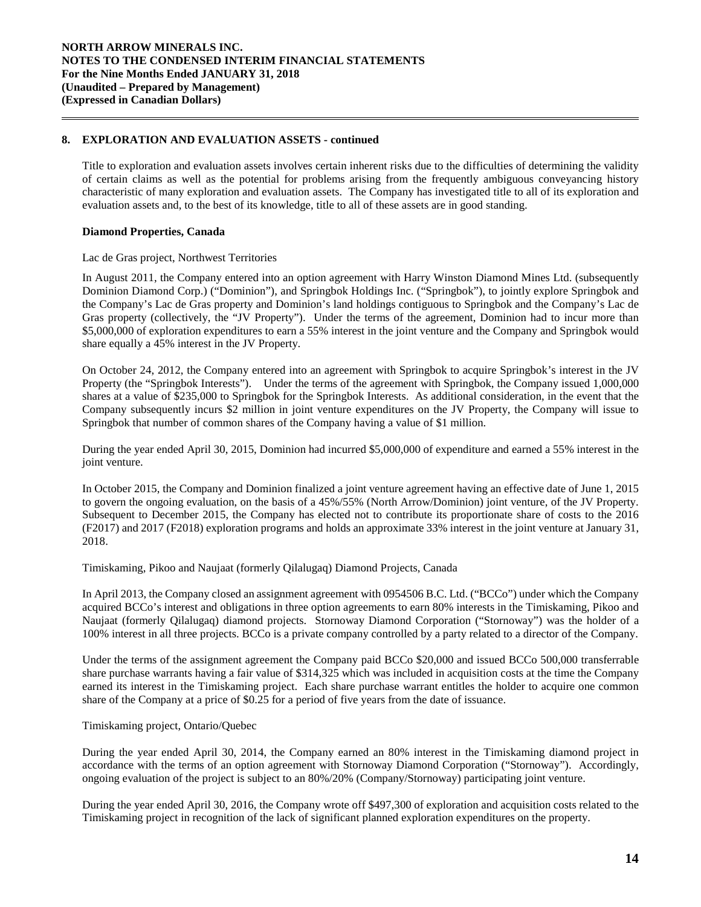Title to exploration and evaluation assets involves certain inherent risks due to the difficulties of determining the validity of certain claims as well as the potential for problems arising from the frequently ambiguous conveyancing history characteristic of many exploration and evaluation assets. The Company has investigated title to all of its exploration and evaluation assets and, to the best of its knowledge, title to all of these assets are in good standing.

### **Diamond Properties, Canada**

Lac de Gras project, Northwest Territories

In August 2011, the Company entered into an option agreement with Harry Winston Diamond Mines Ltd. (subsequently Dominion Diamond Corp.) ("Dominion"), and Springbok Holdings Inc. ("Springbok"), to jointly explore Springbok and the Company's Lac de Gras property and Dominion's land holdings contiguous to Springbok and the Company's Lac de Gras property (collectively, the "JV Property"). Under the terms of the agreement, Dominion had to incur more than \$5,000,000 of exploration expenditures to earn a 55% interest in the joint venture and the Company and Springbok would share equally a 45% interest in the JV Property.

On October 24, 2012, the Company entered into an agreement with Springbok to acquire Springbok's interest in the JV Property (the "Springbok Interests"). Under the terms of the agreement with Springbok, the Company issued 1,000,000 shares at a value of \$235,000 to Springbok for the Springbok Interests. As additional consideration, in the event that the Company subsequently incurs \$2 million in joint venture expenditures on the JV Property, the Company will issue to Springbok that number of common shares of the Company having a value of \$1 million.

During the year ended April 30, 2015, Dominion had incurred \$5,000,000 of expenditure and earned a 55% interest in the joint venture.

In October 2015, the Company and Dominion finalized a joint venture agreement having an effective date of June 1, 2015 to govern the ongoing evaluation, on the basis of a 45%/55% (North Arrow/Dominion) joint venture, of the JV Property. Subsequent to December 2015, the Company has elected not to contribute its proportionate share of costs to the 2016 (F2017) and 2017 (F2018) exploration programs and holds an approximate 33% interest in the joint venture at January 31, 2018.

Timiskaming, Pikoo and Naujaat (formerly Qilalugaq) Diamond Projects, Canada

In April 2013, the Company closed an assignment agreement with 0954506 B.C. Ltd. ("BCCo") under which the Company acquired BCCo's interest and obligations in three option agreements to earn 80% interests in the Timiskaming, Pikoo and Naujaat (formerly Qilalugaq) diamond projects. Stornoway Diamond Corporation ("Stornoway") was the holder of a 100% interest in all three projects. BCCo is a private company controlled by a party related to a director of the Company.

Under the terms of the assignment agreement the Company paid BCCo \$20,000 and issued BCCo 500,000 transferrable share purchase warrants having a fair value of \$314,325 which was included in acquisition costs at the time the Company earned its interest in the Timiskaming project. Each share purchase warrant entitles the holder to acquire one common share of the Company at a price of \$0.25 for a period of five years from the date of issuance.

### Timiskaming project, Ontario/Quebec

During the year ended April 30, 2014, the Company earned an 80% interest in the Timiskaming diamond project in accordance with the terms of an option agreement with Stornoway Diamond Corporation ("Stornoway"). Accordingly, ongoing evaluation of the project is subject to an 80%/20% (Company/Stornoway) participating joint venture.

During the year ended April 30, 2016, the Company wrote off \$497,300 of exploration and acquisition costs related to the Timiskaming project in recognition of the lack of significant planned exploration expenditures on the property.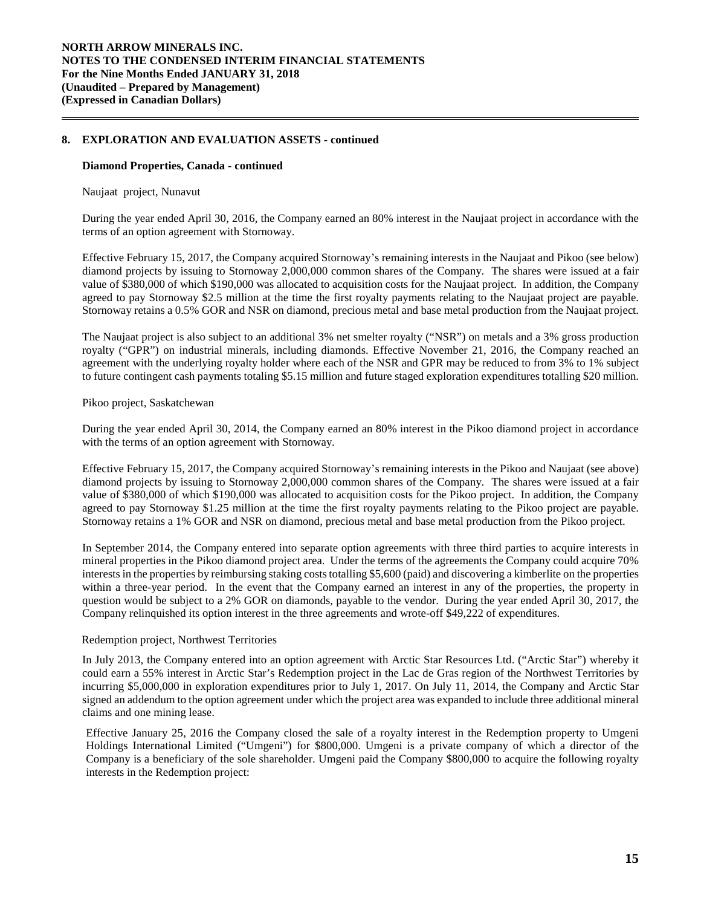#### **Diamond Properties, Canada - continued**

#### Naujaat project, Nunavut

During the year ended April 30, 2016, the Company earned an 80% interest in the Naujaat project in accordance with the terms of an option agreement with Stornoway.

Effective February 15, 2017, the Company acquired Stornoway's remaining interests in the Naujaat and Pikoo (see below) diamond projects by issuing to Stornoway 2,000,000 common shares of the Company. The shares were issued at a fair value of \$380,000 of which \$190,000 was allocated to acquisition costs for the Naujaat project. In addition, the Company agreed to pay Stornoway \$2.5 million at the time the first royalty payments relating to the Naujaat project are payable. Stornoway retains a 0.5% GOR and NSR on diamond, precious metal and base metal production from the Naujaat project.

The Naujaat project is also subject to an additional 3% net smelter royalty ("NSR") on metals and a 3% gross production royalty ("GPR") on industrial minerals, including diamonds. Effective November 21, 2016, the Company reached an agreement with the underlying royalty holder where each of the NSR and GPR may be reduced to from 3% to 1% subject to future contingent cash payments totaling \$5.15 million and future staged exploration expenditures totalling \$20 million.

### Pikoo project, Saskatchewan

During the year ended April 30, 2014, the Company earned an 80% interest in the Pikoo diamond project in accordance with the terms of an option agreement with Stornoway.

Effective February 15, 2017, the Company acquired Stornoway's remaining interests in the Pikoo and Naujaat (see above) diamond projects by issuing to Stornoway 2,000,000 common shares of the Company. The shares were issued at a fair value of \$380,000 of which \$190,000 was allocated to acquisition costs for the Pikoo project. In addition, the Company agreed to pay Stornoway \$1.25 million at the time the first royalty payments relating to the Pikoo project are payable. Stornoway retains a 1% GOR and NSR on diamond, precious metal and base metal production from the Pikoo project.

In September 2014, the Company entered into separate option agreements with three third parties to acquire interests in mineral properties in the Pikoo diamond project area. Under the terms of the agreements the Company could acquire 70% interests in the properties by reimbursing staking costs totalling \$5,600 (paid) and discovering a kimberlite on the properties within a three-year period. In the event that the Company earned an interest in any of the properties, the property in question would be subject to a 2% GOR on diamonds, payable to the vendor. During the year ended April 30, 2017, the Company relinquished its option interest in the three agreements and wrote-off \$49,222 of expenditures.

### Redemption project, Northwest Territories

In July 2013, the Company entered into an option agreement with Arctic Star Resources Ltd. ("Arctic Star") whereby it could earn a 55% interest in Arctic Star's Redemption project in the Lac de Gras region of the Northwest Territories by incurring \$5,000,000 in exploration expenditures prior to July 1, 2017. On July 11, 2014, the Company and Arctic Star signed an addendum to the option agreement under which the project area was expanded to include three additional mineral claims and one mining lease.

Effective January 25, 2016 the Company closed the sale of a royalty interest in the Redemption property to Umgeni Holdings International Limited ("Umgeni") for \$800,000. Umgeni is a private company of which a director of the Company is a beneficiary of the sole shareholder. Umgeni paid the Company \$800,000 to acquire the following royalty interests in the Redemption project: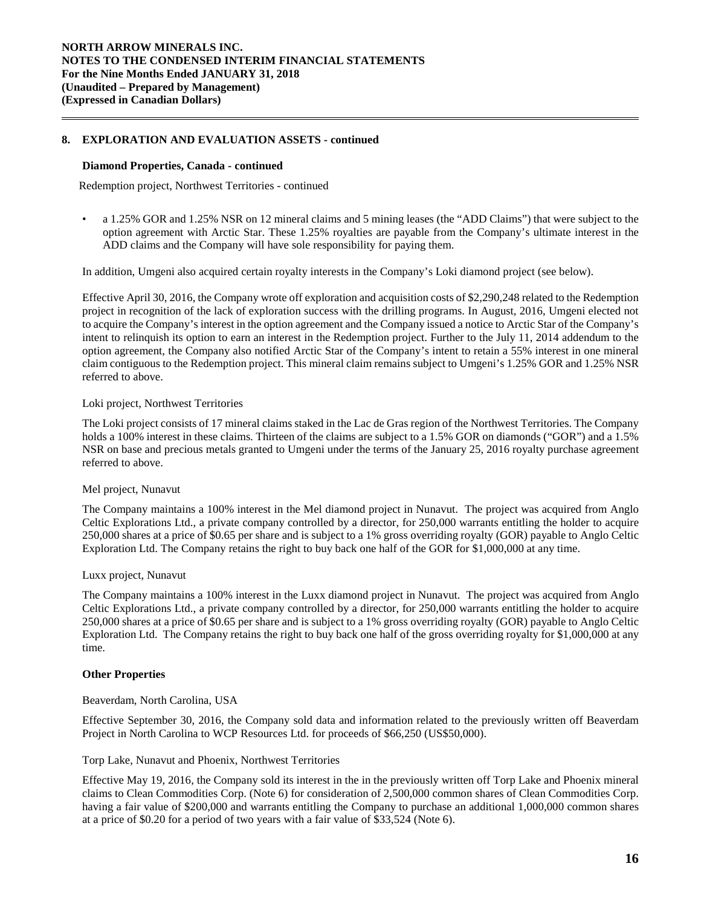#### **Diamond Properties, Canada - continued**

Redemption project, Northwest Territories - continued

• a 1.25% GOR and 1.25% NSR on 12 mineral claims and 5 mining leases (the "ADD Claims") that were subject to the option agreement with Arctic Star. These 1.25% royalties are payable from the Company's ultimate interest in the ADD claims and the Company will have sole responsibility for paying them.

In addition, Umgeni also acquired certain royalty interests in the Company's Loki diamond project (see below).

Effective April 30, 2016, the Company wrote off exploration and acquisition costs of \$2,290,248 related to the Redemption project in recognition of the lack of exploration success with the drilling programs. In August, 2016, Umgeni elected not to acquire the Company's interest in the option agreement and the Company issued a notice to Arctic Star of the Company's intent to relinquish its option to earn an interest in the Redemption project. Further to the July 11, 2014 addendum to the option agreement, the Company also notified Arctic Star of the Company's intent to retain a 55% interest in one mineral claim contiguous to the Redemption project. This mineral claim remains subject to Umgeni's 1.25% GOR and 1.25% NSR referred to above.

### Loki project, Northwest Territories

The Loki project consists of 17 mineral claims staked in the Lac de Gras region of the Northwest Territories. The Company holds a 100% interest in these claims. Thirteen of the claims are subject to a 1.5% GOR on diamonds ("GOR") and a 1.5% NSR on base and precious metals granted to Umgeni under the terms of the January 25, 2016 royalty purchase agreement referred to above.

#### Mel project, Nunavut

The Company maintains a 100% interest in the Mel diamond project in Nunavut. The project was acquired from Anglo Celtic Explorations Ltd., a private company controlled by a director, for 250,000 warrants entitling the holder to acquire 250,000 shares at a price of \$0.65 per share and is subject to a 1% gross overriding royalty (GOR) payable to Anglo Celtic Exploration Ltd. The Company retains the right to buy back one half of the GOR for \$1,000,000 at any time.

#### Luxx project, Nunavut

The Company maintains a 100% interest in the Luxx diamond project in Nunavut. The project was acquired from Anglo Celtic Explorations Ltd., a private company controlled by a director, for 250,000 warrants entitling the holder to acquire 250,000 shares at a price of \$0.65 per share and is subject to a 1% gross overriding royalty (GOR) payable to Anglo Celtic Exploration Ltd. The Company retains the right to buy back one half of the gross overriding royalty for \$1,000,000 at any time.

### **Other Properties**

#### Beaverdam, North Carolina, USA

Effective September 30, 2016, the Company sold data and information related to the previously written off Beaverdam Project in North Carolina to WCP Resources Ltd. for proceeds of \$66,250 (US\$50,000).

#### Torp Lake, Nunavut and Phoenix, Northwest Territories

Effective May 19, 2016, the Company sold its interest in the in the previously written off Torp Lake and Phoenix mineral claims to Clean Commodities Corp. (Note 6) for consideration of 2,500,000 common shares of Clean Commodities Corp. having a fair value of \$200,000 and warrants entitling the Company to purchase an additional 1,000,000 common shares at a price of \$0.20 for a period of two years with a fair value of \$33,524 (Note 6).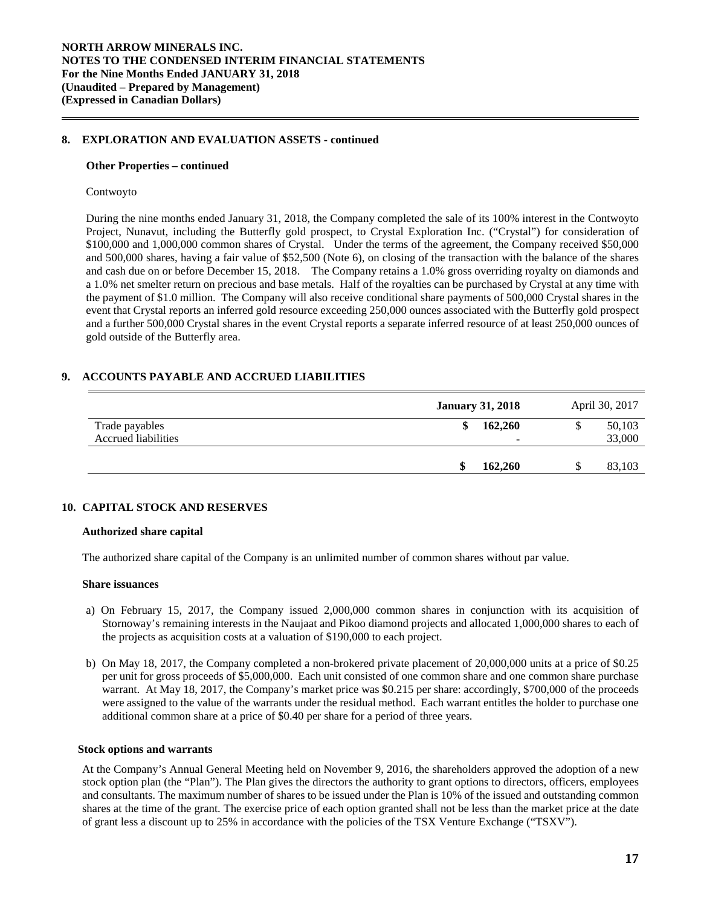#### **Other Properties – continued**

#### Contwoyto

During the nine months ended January 31, 2018, the Company completed the sale of its 100% interest in the Contwoyto Project, Nunavut, including the Butterfly gold prospect, to Crystal Exploration Inc. ("Crystal") for consideration of \$100,000 and 1,000,000 common shares of Crystal. Under the terms of the agreement, the Company received \$50,000 and 500,000 shares, having a fair value of \$52,500 (Note 6), on closing of the transaction with the balance of the shares and cash due on or before December 15, 2018. The Company retains a 1.0% gross overriding royalty on diamonds and a 1.0% net smelter return on precious and base metals. Half of the royalties can be purchased by Crystal at any time with the payment of \$1.0 million. The Company will also receive conditional share payments of 500,000 Crystal shares in the event that Crystal reports an inferred gold resource exceeding 250,000 ounces associated with the Butterfly gold prospect and a further 500,000 Crystal shares in the event Crystal reports a separate inferred resource of at least 250,000 ounces of gold outside of the Butterfly area.

### **9. ACCOUNTS PAYABLE AND ACCRUED LIABILITIES**

|                                       | <b>January 31, 2018</b>                   | April 30, 2017        |
|---------------------------------------|-------------------------------------------|-----------------------|
| Trade payables<br>Accrued liabilities | 162,260<br>\$<br>$\overline{\phantom{a}}$ | 50,103<br>S<br>33,000 |
|                                       | 162,260<br>\$                             | 83,103                |

#### **10. CAPITAL STOCK AND RESERVES**

#### **Authorized share capital**

The authorized share capital of the Company is an unlimited number of common shares without par value.

#### **Share issuances**

- a) On February 15, 2017, the Company issued 2,000,000 common shares in conjunction with its acquisition of Stornoway's remaining interests in the Naujaat and Pikoo diamond projects and allocated 1,000,000 shares to each of the projects as acquisition costs at a valuation of \$190,000 to each project.
- b) On May 18, 2017, the Company completed a non-brokered private placement of 20,000,000 units at a price of \$0.25 per unit for gross proceeds of \$5,000,000. Each unit consisted of one common share and one common share purchase warrant. At May 18, 2017, the Company's market price was \$0.215 per share: accordingly, \$700,000 of the proceeds were assigned to the value of the warrants under the residual method. Each warrant entitles the holder to purchase one additional common share at a price of \$0.40 per share for a period of three years.

#### **Stock options and warrants**

At the Company's Annual General Meeting held on November 9, 2016, the shareholders approved the adoption of a new stock option plan (the "Plan"). The Plan gives the directors the authority to grant options to directors, officers, employees and consultants. The maximum number of shares to be issued under the Plan is 10% of the issued and outstanding common shares at the time of the grant. The exercise price of each option granted shall not be less than the market price at the date of grant less a discount up to 25% in accordance with the policies of the TSX Venture Exchange ("TSXV").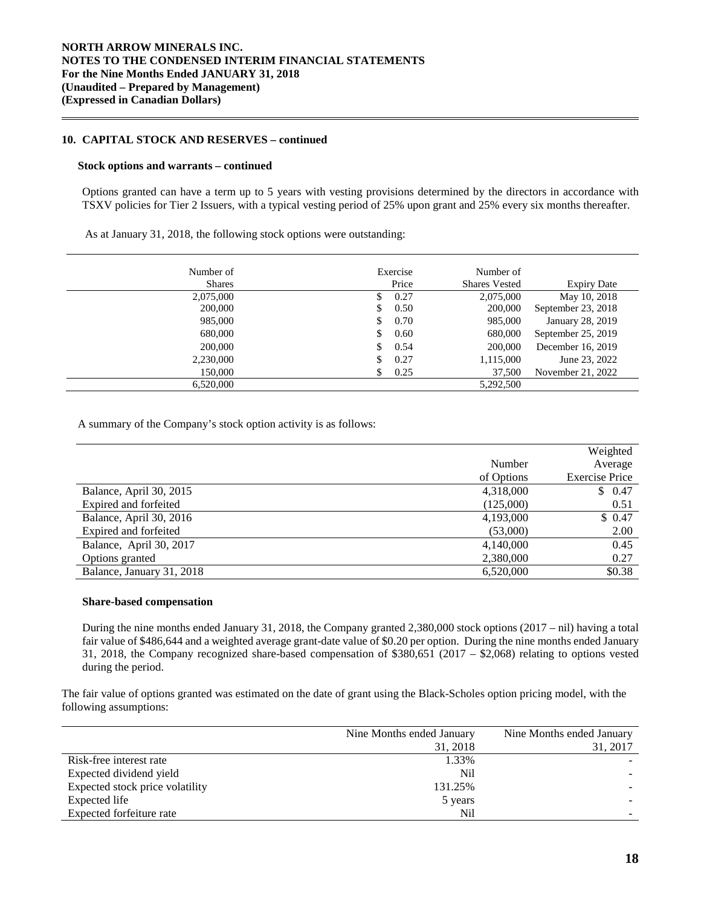### **10. CAPITAL STOCK AND RESERVES – continued**

#### **Stock options and warrants – continued**

Options granted can have a term up to 5 years with vesting provisions determined by the directors in accordance with TSXV policies for Tier 2 Issuers, with a typical vesting period of 25% upon grant and 25% every six months thereafter.

As at January 31, 2018, the following stock options were outstanding:

| Number of<br><b>Shares</b> | Exercise<br>Price | Number of<br><b>Shares Vested</b> | <b>Expiry Date</b> |
|----------------------------|-------------------|-----------------------------------|--------------------|
| 2,075,000                  | S.                | 0.27<br>2,075,000                 | May 10, 2018       |
| 200,000                    | <sup>S</sup>      | 0.50<br>200,000                   | September 23, 2018 |
| 985,000                    | \$.               | 0.70<br>985,000                   | January 28, 2019   |
| 680,000                    | \$.               | 0.60<br>680,000                   | September 25, 2019 |
| 200,000                    | S.                | 0.54<br>200,000                   | December 16, 2019  |
| 2,230,000                  | S.                | 0.27<br>1,115,000                 | June 23, 2022      |
| 150,000                    | S.                | 0.25<br>37,500                    | November 21, 2022  |
| 6,520,000                  |                   | 5,292,500                         |                    |

A summary of the Company's stock option activity is as follows:

|                           |            | Weighted              |
|---------------------------|------------|-----------------------|
|                           | Number     | Average               |
|                           | of Options | <b>Exercise Price</b> |
| Balance, April 30, 2015   | 4,318,000  | \$0.47                |
| Expired and forfeited     | (125,000)  | 0.51                  |
| Balance, April 30, 2016   | 4,193,000  | \$0.47                |
| Expired and forfeited     | (53,000)   | 2.00                  |
| Balance, April 30, 2017   | 4,140,000  | 0.45                  |
| Options granted           | 2,380,000  | 0.27                  |
| Balance, January 31, 2018 | 6,520,000  | \$0.38                |

#### **Share-based compensation**

During the nine months ended January 31, 2018, the Company granted 2,380,000 stock options (2017 – nil) having a total fair value of \$486,644 and a weighted average grant-date value of \$0.20 per option. During the nine months ended January 31, 2018, the Company recognized share-based compensation of \$380,651 (2017 – \$2,068) relating to options vested during the period.

The fair value of options granted was estimated on the date of grant using the Black-Scholes option pricing model, with the following assumptions:

|                                 | Nine Months ended January | Nine Months ended January |
|---------------------------------|---------------------------|---------------------------|
|                                 | 31, 2018                  | 31, 2017                  |
| Risk-free interest rate         | 1.33%                     |                           |
| Expected dividend yield         | Nil                       |                           |
| Expected stock price volatility | 131.25%                   |                           |
| Expected life                   | 5 years                   |                           |
| Expected forfeiture rate        | Nil                       |                           |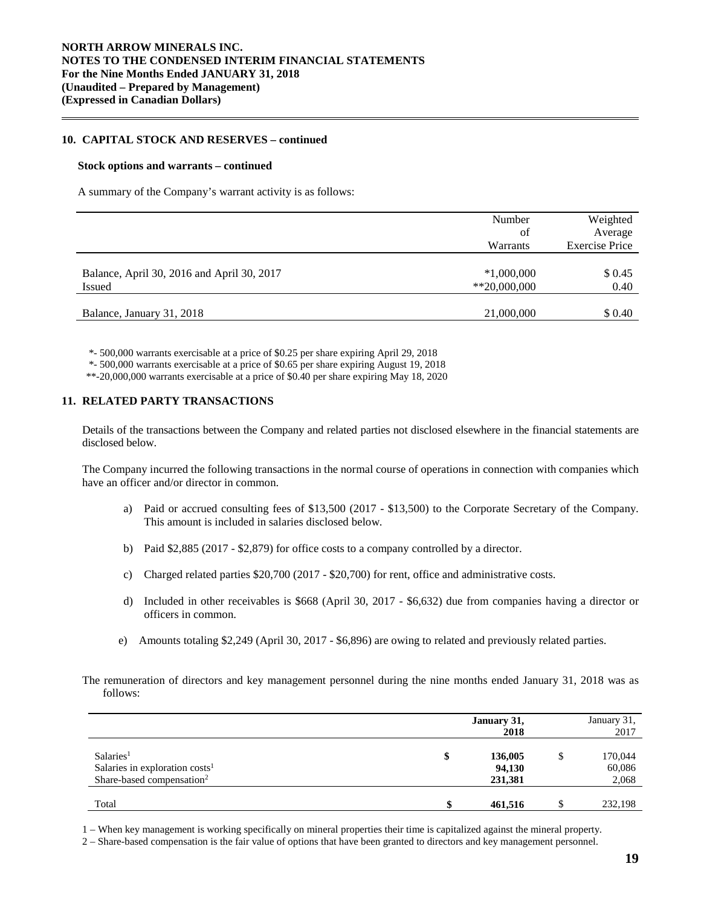### **10. CAPITAL STOCK AND RESERVES – continued**

#### **Stock options and warrants – continued**

A summary of the Company's warrant activity is as follows:

|                                                             | Number<br>of<br>Warrants      | Weighted<br>Average<br><b>Exercise Price</b> |
|-------------------------------------------------------------|-------------------------------|----------------------------------------------|
| Balance, April 30, 2016 and April 30, 2017<br><b>Issued</b> | $*1,000,000$<br>$*20,000,000$ | \$ 0.45<br>0.40                              |
| Balance, January 31, 2018                                   | 21,000,000                    | \$ 0.40                                      |

\*- 500,000 warrants exercisable at a price of \$0.25 per share expiring April 29, 2018

\*- 500,000 warrants exercisable at a price of \$0.65 per share expiring August 19, 2018

\*\*-20,000,000 warrants exercisable at a price of \$0.40 per share expiring May 18, 2020

### **11. RELATED PARTY TRANSACTIONS**

Details of the transactions between the Company and related parties not disclosed elsewhere in the financial statements are disclosed below.

The Company incurred the following transactions in the normal course of operations in connection with companies which have an officer and/or director in common.

- a) Paid or accrued consulting fees of \$13,500 (2017 \$13,500) to the Corporate Secretary of the Company. This amount is included in salaries disclosed below.
- b) Paid \$2,885 (2017 \$2,879) for office costs to a company controlled by a director.
- c) Charged related parties \$20,700 (2017 \$20,700) for rent, office and administrative costs.
- d) Included in other receivables is \$668 (April 30, 2017 \$6,632) due from companies having a director or officers in common.
- e) Amounts totaling \$2,249 (April 30, 2017 \$6,896) are owing to related and previously related parties.
- The remuneration of directors and key management personnel during the nine months ended January 31, 2018 was as follows:

|                                                                                                              |    | January 31,<br>2018          |   | January 31,<br>2017        |
|--------------------------------------------------------------------------------------------------------------|----|------------------------------|---|----------------------------|
| Salaries <sup>1</sup><br>Salaries in exploration costs <sup>1</sup><br>Share-based compensation <sup>2</sup> | \$ | 136,005<br>94,130<br>231,381 | J | 170,044<br>60,086<br>2,068 |
| Total                                                                                                        | Φ  | 461,516                      |   | 232,198                    |

1 – When key management is working specifically on mineral properties their time is capitalized against the mineral property.

<sup>2 –</sup> Share-based compensation is the fair value of options that have been granted to directors and key management personnel.